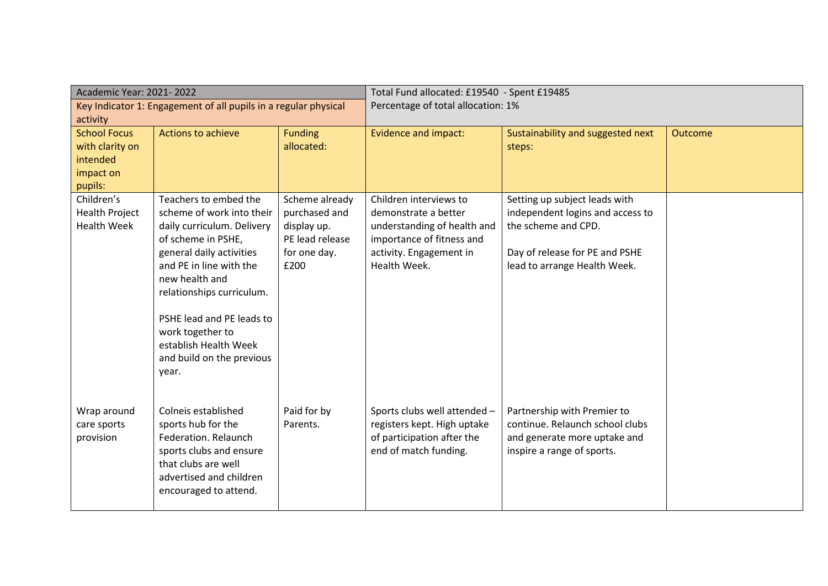| Academic Year: 2021-2022                                        |                                                  | Total Fund allocated: £19540 - Spent £19485 |                              |                                   |                |
|-----------------------------------------------------------------|--------------------------------------------------|---------------------------------------------|------------------------------|-----------------------------------|----------------|
| Key Indicator 1: Engagement of all pupils in a regular physical |                                                  | Percentage of total allocation: 1%          |                              |                                   |                |
| activity                                                        |                                                  |                                             |                              |                                   |                |
| <b>School Focus</b>                                             | <b>Actions to achieve</b>                        | <b>Funding</b>                              | <b>Evidence and impact:</b>  | Sustainability and suggested next | <b>Outcome</b> |
| with clarity on                                                 |                                                  | allocated:                                  |                              | steps:                            |                |
| intended                                                        |                                                  |                                             |                              |                                   |                |
| impact on<br>pupils:                                            |                                                  |                                             |                              |                                   |                |
| Children's                                                      | Teachers to embed the                            | Scheme already                              | Children interviews to       | Setting up subject leads with     |                |
| <b>Health Project</b>                                           | scheme of work into their                        | purchased and                               | demonstrate a better         | independent logins and access to  |                |
| <b>Health Week</b>                                              | daily curriculum. Delivery                       | display up.                                 | understanding of health and  | the scheme and CPD.               |                |
|                                                                 | of scheme in PSHE,                               | PE lead release                             | importance of fitness and    |                                   |                |
|                                                                 | general daily activities                         | for one day.                                | activity. Engagement in      | Day of release for PE and PSHE    |                |
|                                                                 | and PE in line with the                          | £200                                        | Health Week.                 | lead to arrange Health Week.      |                |
|                                                                 | new health and                                   |                                             |                              |                                   |                |
|                                                                 | relationships curriculum.                        |                                             |                              |                                   |                |
|                                                                 |                                                  |                                             |                              |                                   |                |
|                                                                 | PSHE lead and PE leads to<br>work together to    |                                             |                              |                                   |                |
|                                                                 | establish Health Week                            |                                             |                              |                                   |                |
|                                                                 | and build on the previous                        |                                             |                              |                                   |                |
|                                                                 | year.                                            |                                             |                              |                                   |                |
|                                                                 |                                                  |                                             |                              |                                   |                |
|                                                                 |                                                  |                                             |                              |                                   |                |
| Wrap around                                                     | Colneis established                              | Paid for by                                 | Sports clubs well attended - | Partnership with Premier to       |                |
| care sports                                                     | sports hub for the                               | Parents.                                    | registers kept. High uptake  | continue. Relaunch school clubs   |                |
| provision                                                       | Federation. Relaunch                             |                                             | of participation after the   | and generate more uptake and      |                |
|                                                                 | sports clubs and ensure                          |                                             | end of match funding.        | inspire a range of sports.        |                |
|                                                                 | that clubs are well                              |                                             |                              |                                   |                |
|                                                                 | advertised and children<br>encouraged to attend. |                                             |                              |                                   |                |
|                                                                 |                                                  |                                             |                              |                                   |                |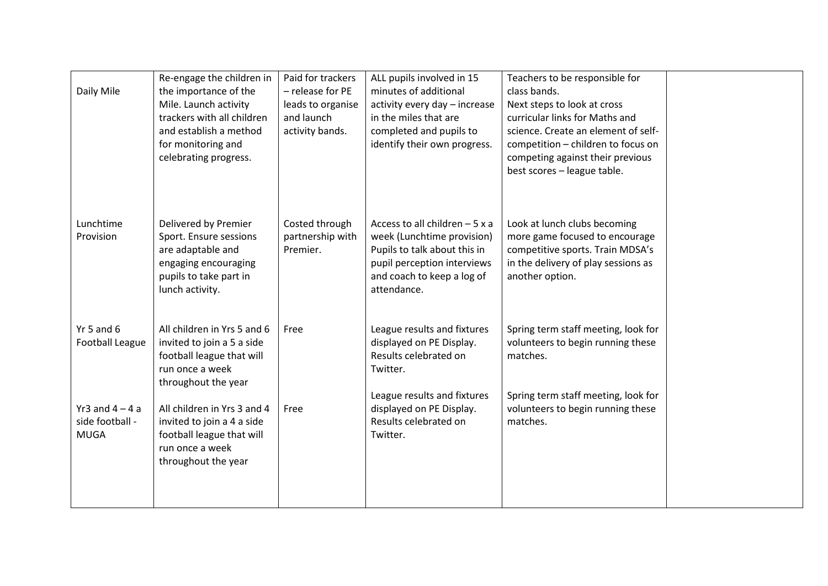| Daily Mile                                                  | Re-engage the children in<br>the importance of the<br>Mile. Launch activity<br>trackers with all children<br>and establish a method<br>for monitoring and<br>celebrating progress. | Paid for trackers<br>- release for PE<br>leads to organise<br>and launch<br>activity bands. | ALL pupils involved in 15<br>minutes of additional<br>activity every day - increase<br>in the miles that are<br>completed and pupils to<br>identify their own progress.  | Teachers to be responsible for<br>class bands.<br>Next steps to look at cross<br>curricular links for Maths and<br>science. Create an element of self-<br>competition - children to focus on<br>competing against their previous<br>best scores - league table. |  |
|-------------------------------------------------------------|------------------------------------------------------------------------------------------------------------------------------------------------------------------------------------|---------------------------------------------------------------------------------------------|--------------------------------------------------------------------------------------------------------------------------------------------------------------------------|-----------------------------------------------------------------------------------------------------------------------------------------------------------------------------------------------------------------------------------------------------------------|--|
| Lunchtime<br>Provision                                      | Delivered by Premier<br>Sport. Ensure sessions<br>are adaptable and<br>engaging encouraging<br>pupils to take part in<br>lunch activity.                                           | Costed through<br>partnership with<br>Premier.                                              | Access to all children $-5x$ a<br>week (Lunchtime provision)<br>Pupils to talk about this in<br>pupil perception interviews<br>and coach to keep a log of<br>attendance. | Look at lunch clubs becoming<br>more game focused to encourage<br>competitive sports. Train MDSA's<br>in the delivery of play sessions as<br>another option.                                                                                                    |  |
| Yr 5 and $6$<br><b>Football League</b><br>Yr3 and $4 - 4$ a | All children in Yrs 5 and 6<br>invited to join a 5 a side<br>football league that will<br>run once a week<br>throughout the year<br>All children in Yrs 3 and 4                    | Free<br>Free                                                                                | League results and fixtures<br>displayed on PE Display.<br>Results celebrated on<br>Twitter.<br>League results and fixtures<br>displayed on PE Display.                  | Spring term staff meeting, look for<br>volunteers to begin running these<br>matches.<br>Spring term staff meeting, look for<br>volunteers to begin running these                                                                                                |  |
| side football -<br><b>MUGA</b>                              | invited to join a 4 a side<br>football league that will<br>run once a week<br>throughout the year                                                                                  |                                                                                             | Results celebrated on<br>Twitter.                                                                                                                                        | matches.                                                                                                                                                                                                                                                        |  |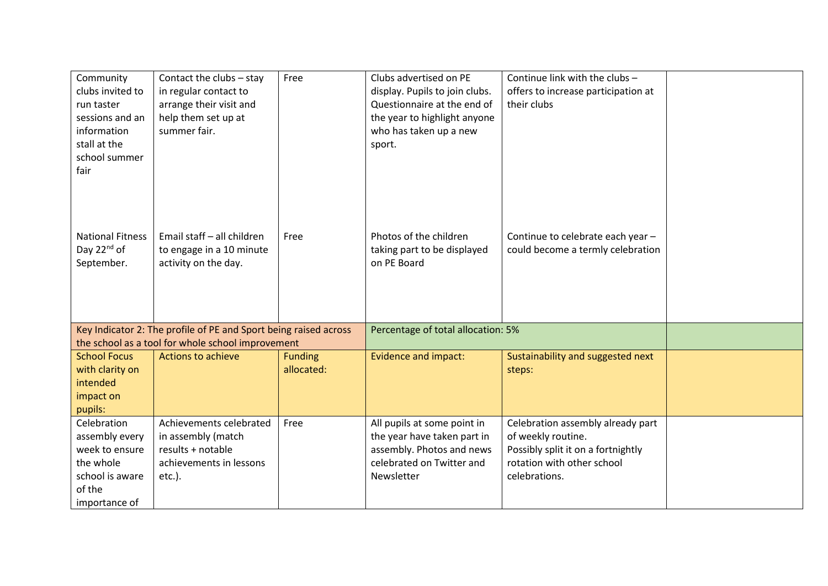| Community<br>clubs invited to<br>run taster<br>sessions and an<br>information<br>stall at the<br>school summer<br>fair | Contact the clubs - stay<br>in regular contact to<br>arrange their visit and<br>help them set up at<br>summer fair. | Free                               | Clubs advertised on PE<br>display. Pupils to join clubs.<br>Questionnaire at the end of<br>the year to highlight anyone<br>who has taken up a new<br>sport. | Continue link with the clubs -<br>offers to increase participation at<br>their clubs                                                         |  |
|------------------------------------------------------------------------------------------------------------------------|---------------------------------------------------------------------------------------------------------------------|------------------------------------|-------------------------------------------------------------------------------------------------------------------------------------------------------------|----------------------------------------------------------------------------------------------------------------------------------------------|--|
| <b>National Fitness</b><br>Day 22 <sup>nd</sup> of<br>September.                                                       | Email staff - all children<br>to engage in a 10 minute<br>activity on the day.                                      | Free                               | Photos of the children<br>taking part to be displayed<br>on PE Board                                                                                        | Continue to celebrate each year -<br>could become a termly celebration                                                                       |  |
| Key Indicator 2: The profile of PE and Sport being raised across<br>the school as a tool for whole school improvement  |                                                                                                                     | Percentage of total allocation: 5% |                                                                                                                                                             |                                                                                                                                              |  |
| <b>School Focus</b>                                                                                                    | <b>Actions to achieve</b>                                                                                           | <b>Funding</b>                     | <b>Evidence and impact:</b>                                                                                                                                 | Sustainability and suggested next                                                                                                            |  |
| with clarity on<br>intended<br>impact on                                                                               |                                                                                                                     | allocated:                         |                                                                                                                                                             | steps:                                                                                                                                       |  |
| pupils:                                                                                                                |                                                                                                                     |                                    |                                                                                                                                                             |                                                                                                                                              |  |
| Celebration<br>assembly every<br>week to ensure<br>the whole<br>school is aware<br>of the<br>importance of             | Achievements celebrated<br>in assembly (match<br>results + notable<br>achievements in lessons<br>$etc.$ ).          | Free                               | All pupils at some point in<br>the year have taken part in<br>assembly. Photos and news<br>celebrated on Twitter and<br>Newsletter                          | Celebration assembly already part<br>of weekly routine.<br>Possibly split it on a fortnightly<br>rotation with other school<br>celebrations. |  |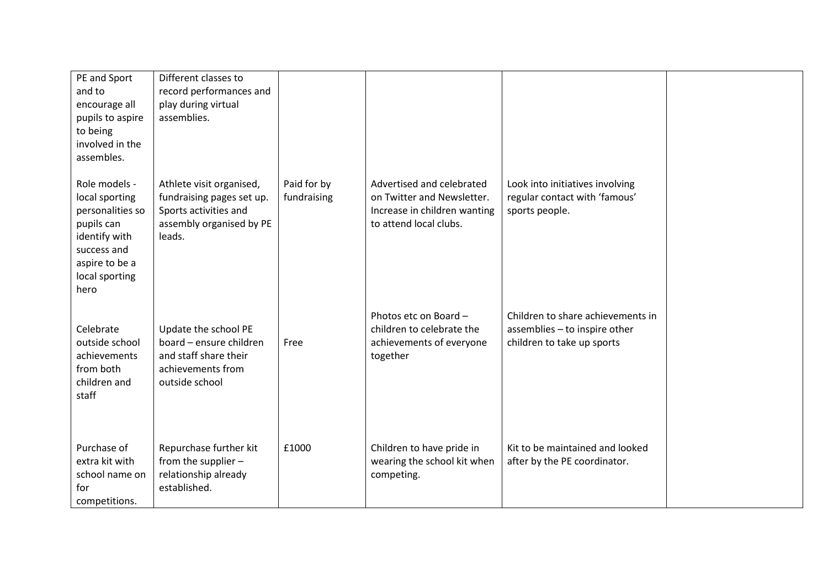| PE and Sport<br>and to<br>encourage all<br>pupils to aspire<br>to being<br>involved in the<br>assembles.                                      | Different classes to<br>record performances and<br>play during virtual<br>assemblies.                                |                            |                                                                                                                   |                                                                                                  |  |
|-----------------------------------------------------------------------------------------------------------------------------------------------|----------------------------------------------------------------------------------------------------------------------|----------------------------|-------------------------------------------------------------------------------------------------------------------|--------------------------------------------------------------------------------------------------|--|
| Role models -<br>local sporting<br>personalities so<br>pupils can<br>identify with<br>success and<br>aspire to be a<br>local sporting<br>hero | Athlete visit organised,<br>fundraising pages set up.<br>Sports activities and<br>assembly organised by PE<br>leads. | Paid for by<br>fundraising | Advertised and celebrated<br>on Twitter and Newsletter.<br>Increase in children wanting<br>to attend local clubs. | Look into initiatives involving<br>regular contact with 'famous'<br>sports people.               |  |
| Celebrate<br>outside school<br>achievements<br>from both<br>children and<br>staff                                                             | Update the school PE<br>board - ensure children<br>and staff share their<br>achievements from<br>outside school      | Free                       | Photos etc on Board -<br>children to celebrate the<br>achievements of everyone<br>together                        | Children to share achievements in<br>assemblies - to inspire other<br>children to take up sports |  |
| Purchase of<br>extra kit with<br>school name on<br>for<br>competitions.                                                                       | Repurchase further kit<br>from the supplier -<br>relationship already<br>established.                                | £1000                      | Children to have pride in<br>wearing the school kit when<br>competing.                                            | Kit to be maintained and looked<br>after by the PE coordinator.                                  |  |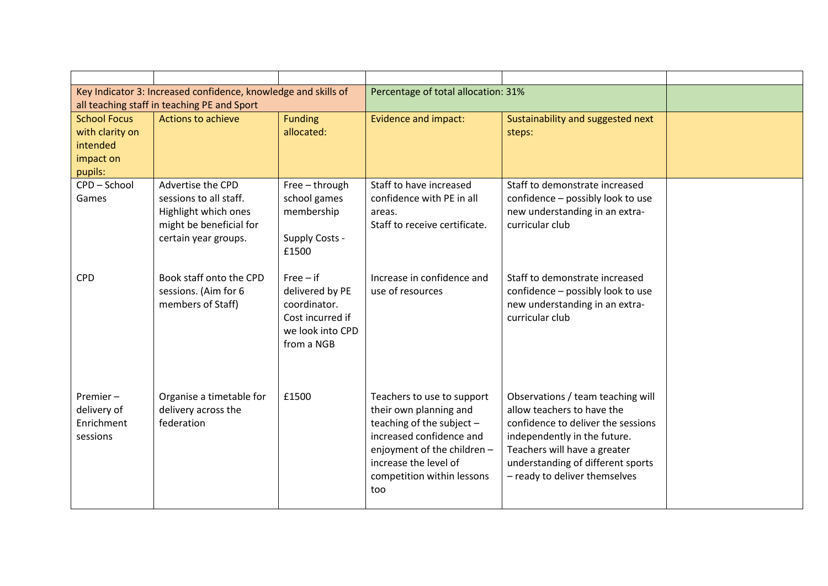| Key Indicator 3: Increased confidence, knowledge and skills of<br>all teaching staff in teaching PE and Sport |                                                                                                                        | Percentage of total allocation: 31%                                                                  |                                                                                                                                                                                                           |                                                                                                                                                                                                                                             |  |
|---------------------------------------------------------------------------------------------------------------|------------------------------------------------------------------------------------------------------------------------|------------------------------------------------------------------------------------------------------|-----------------------------------------------------------------------------------------------------------------------------------------------------------------------------------------------------------|---------------------------------------------------------------------------------------------------------------------------------------------------------------------------------------------------------------------------------------------|--|
| <b>School Focus</b><br>with clarity on<br>intended<br>impact on<br>pupils:                                    | <b>Actions to achieve</b>                                                                                              | <b>Funding</b><br>allocated:                                                                         | <b>Evidence and impact:</b>                                                                                                                                                                               | Sustainability and suggested next<br>steps:                                                                                                                                                                                                 |  |
| CPD-School<br>Games                                                                                           | Advertise the CPD<br>sessions to all staff.<br>Highlight which ones<br>might be beneficial for<br>certain year groups. | Free - through<br>school games<br>membership<br>Supply Costs -<br>£1500                              | Staff to have increased<br>confidence with PE in all<br>areas.<br>Staff to receive certificate.                                                                                                           | Staff to demonstrate increased<br>confidence - possibly look to use<br>new understanding in an extra-<br>curricular club                                                                                                                    |  |
| <b>CPD</b>                                                                                                    | Book staff onto the CPD<br>sessions. (Aim for 6<br>members of Staff)                                                   | $Free - if$<br>delivered by PE<br>coordinator.<br>Cost incurred if<br>we look into CPD<br>from a NGB | Increase in confidence and<br>use of resources                                                                                                                                                            | Staff to demonstrate increased<br>confidence - possibly look to use<br>new understanding in an extra-<br>curricular club                                                                                                                    |  |
| Premier $-$<br>delivery of<br>Enrichment<br>sessions                                                          | Organise a timetable for<br>delivery across the<br>federation                                                          | £1500                                                                                                | Teachers to use to support<br>their own planning and<br>teaching of the subject -<br>increased confidence and<br>enjoyment of the children-<br>increase the level of<br>competition within lessons<br>too | Observations / team teaching will<br>allow teachers to have the<br>confidence to deliver the sessions<br>independently in the future.<br>Teachers will have a greater<br>understanding of different sports<br>- ready to deliver themselves |  |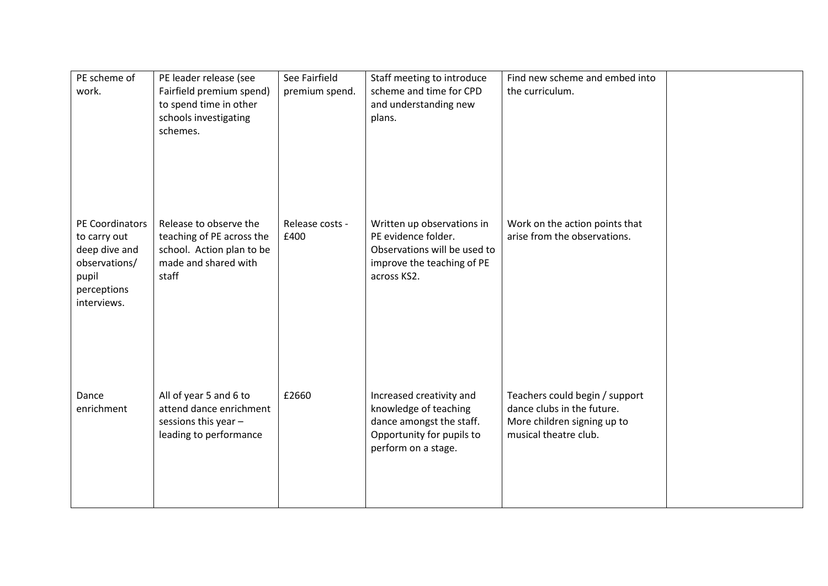| PE scheme of<br>work.                                                                                    | PE leader release (see<br>Fairfield premium spend)<br>to spend time in other<br>schools investigating<br>schemes. | See Fairfield<br>premium spend. | Staff meeting to introduce<br>scheme and time for CPD<br>and understanding new<br>plans.                                          | Find new scheme and embed into<br>the curriculum.                                                                    |  |
|----------------------------------------------------------------------------------------------------------|-------------------------------------------------------------------------------------------------------------------|---------------------------------|-----------------------------------------------------------------------------------------------------------------------------------|----------------------------------------------------------------------------------------------------------------------|--|
| PE Coordinators<br>to carry out<br>deep dive and<br>observations/<br>pupil<br>perceptions<br>interviews. | Release to observe the<br>teaching of PE across the<br>school. Action plan to be<br>made and shared with<br>staff | Release costs -<br>£400         | Written up observations in<br>PE evidence folder.<br>Observations will be used to<br>improve the teaching of PE<br>across KS2.    | Work on the action points that<br>arise from the observations.                                                       |  |
| Dance<br>enrichment                                                                                      | All of year 5 and 6 to<br>attend dance enrichment<br>sessions this year -<br>leading to performance               | £2660                           | Increased creativity and<br>knowledge of teaching<br>dance amongst the staff.<br>Opportunity for pupils to<br>perform on a stage. | Teachers could begin / support<br>dance clubs in the future.<br>More children signing up to<br>musical theatre club. |  |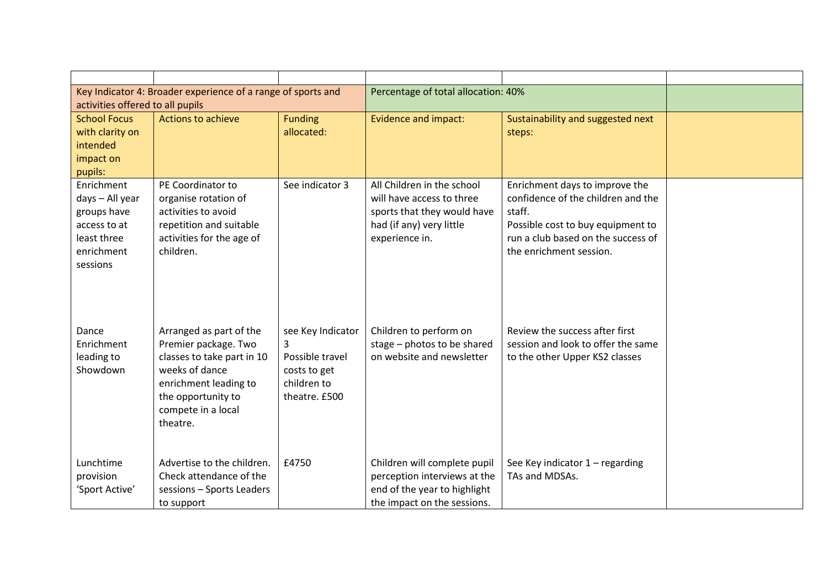| Key Indicator 4: Broader experience of a range of sports and |                                                    | Percentage of total allocation: 40% |                                                       |                                                                      |  |
|--------------------------------------------------------------|----------------------------------------------------|-------------------------------------|-------------------------------------------------------|----------------------------------------------------------------------|--|
| activities offered to all pupils                             |                                                    |                                     |                                                       |                                                                      |  |
| <b>School Focus</b>                                          | <b>Actions to achieve</b>                          | <b>Funding</b>                      | <b>Evidence and impact:</b>                           | Sustainability and suggested next                                    |  |
| with clarity on                                              |                                                    | allocated:                          |                                                       | steps:                                                               |  |
| intended                                                     |                                                    |                                     |                                                       |                                                                      |  |
| impact on                                                    |                                                    |                                     |                                                       |                                                                      |  |
| pupils:<br>Enrichment                                        | PE Coordinator to                                  | See indicator 3                     | All Children in the school                            | Enrichment days to improve the                                       |  |
| days - All year                                              | organise rotation of                               |                                     | will have access to three                             | confidence of the children and the                                   |  |
| groups have                                                  | activities to avoid                                |                                     | sports that they would have                           | staff.                                                               |  |
| access to at                                                 | repetition and suitable                            |                                     | had (if any) very little                              | Possible cost to buy equipment to                                    |  |
| least three                                                  | activities for the age of                          |                                     | experience in.                                        | run a club based on the success of                                   |  |
| enrichment                                                   | children.                                          |                                     |                                                       | the enrichment session.                                              |  |
| sessions                                                     |                                                    |                                     |                                                       |                                                                      |  |
|                                                              |                                                    |                                     |                                                       |                                                                      |  |
|                                                              |                                                    |                                     |                                                       |                                                                      |  |
|                                                              |                                                    |                                     |                                                       |                                                                      |  |
|                                                              |                                                    |                                     |                                                       |                                                                      |  |
| Dance<br>Enrichment                                          | Arranged as part of the                            | see Key Indicator<br>3              | Children to perform on<br>stage - photos to be shared | Review the success after first<br>session and look to offer the same |  |
| leading to                                                   | Premier package. Two<br>classes to take part in 10 | Possible travel                     | on website and newsletter                             | to the other Upper KS2 classes                                       |  |
| Showdown                                                     | weeks of dance                                     | costs to get                        |                                                       |                                                                      |  |
|                                                              | enrichment leading to                              | children to                         |                                                       |                                                                      |  |
|                                                              | the opportunity to                                 | theatre. £500                       |                                                       |                                                                      |  |
|                                                              | compete in a local                                 |                                     |                                                       |                                                                      |  |
|                                                              | theatre.                                           |                                     |                                                       |                                                                      |  |
|                                                              |                                                    |                                     |                                                       |                                                                      |  |
|                                                              |                                                    |                                     |                                                       |                                                                      |  |
| Lunchtime                                                    | Advertise to the children.                         | £4750                               | Children will complete pupil                          | See Key indicator 1 - regarding                                      |  |
| provision                                                    | Check attendance of the                            |                                     | perception interviews at the                          | TAs and MDSAs.                                                       |  |
| 'Sport Active'                                               | sessions - Sports Leaders                          |                                     | end of the year to highlight                          |                                                                      |  |
|                                                              | to support                                         |                                     | the impact on the sessions.                           |                                                                      |  |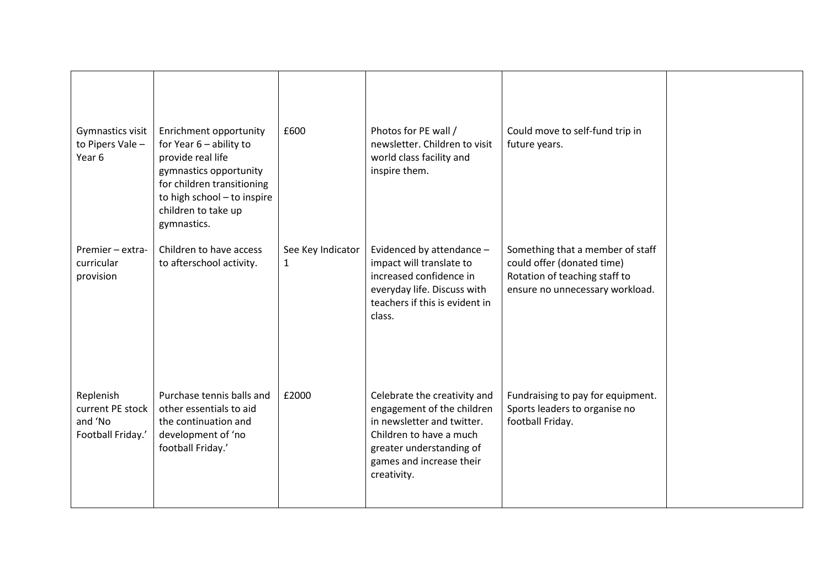| Gymnastics visit<br>to Pipers Vale -<br>Year 6                | Enrichment opportunity<br>for Year $6$ – ability to<br>provide real life<br>gymnastics opportunity<br>for children transitioning<br>to high school - to inspire<br>children to take up<br>gymnastics. | £600                   | Photos for PE wall /<br>newsletter. Children to visit<br>world class facility and<br>inspire them.                                                                                         | Could move to self-fund trip in<br>future years.                                                                                   |  |
|---------------------------------------------------------------|-------------------------------------------------------------------------------------------------------------------------------------------------------------------------------------------------------|------------------------|--------------------------------------------------------------------------------------------------------------------------------------------------------------------------------------------|------------------------------------------------------------------------------------------------------------------------------------|--|
| Premier - extra-<br>curricular<br>provision                   | Children to have access<br>to afterschool activity.                                                                                                                                                   | See Key Indicator<br>1 | Evidenced by attendance -<br>impact will translate to<br>increased confidence in<br>everyday life. Discuss with<br>teachers if this is evident in<br>class.                                | Something that a member of staff<br>could offer (donated time)<br>Rotation of teaching staff to<br>ensure no unnecessary workload. |  |
| Replenish<br>current PE stock<br>and 'No<br>Football Friday.' | Purchase tennis balls and<br>other essentials to aid<br>the continuation and<br>development of 'no<br>football Friday.'                                                                               | £2000                  | Celebrate the creativity and<br>engagement of the children<br>in newsletter and twitter.<br>Children to have a much<br>greater understanding of<br>games and increase their<br>creativity. | Fundraising to pay for equipment.<br>Sports leaders to organise no<br>football Friday.                                             |  |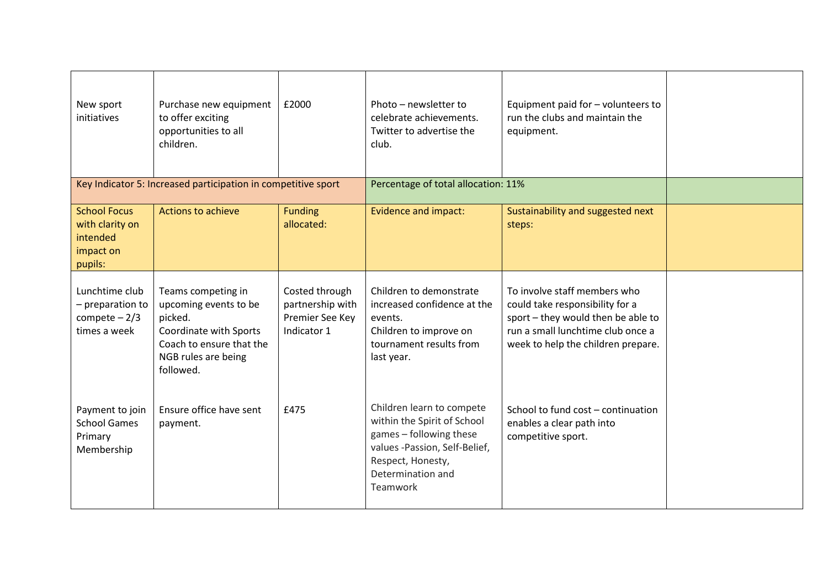| New sport<br>initiatives                                                   | Purchase new equipment<br>to offer exciting<br>opportunities to all<br>children.                                                                 | £2000                                                                | Photo - newsletter to<br>celebrate achievements.<br>Twitter to advertise the<br>club.                                                                                      | Equipment paid for - volunteers to<br>run the clubs and maintain the<br>equipment.                                                                                               |  |
|----------------------------------------------------------------------------|--------------------------------------------------------------------------------------------------------------------------------------------------|----------------------------------------------------------------------|----------------------------------------------------------------------------------------------------------------------------------------------------------------------------|----------------------------------------------------------------------------------------------------------------------------------------------------------------------------------|--|
|                                                                            | Key Indicator 5: Increased participation in competitive sport                                                                                    |                                                                      | Percentage of total allocation: 11%                                                                                                                                        |                                                                                                                                                                                  |  |
| <b>School Focus</b><br>with clarity on<br>intended<br>impact on<br>pupils: | <b>Actions to achieve</b>                                                                                                                        | <b>Funding</b><br>allocated:                                         | <b>Evidence and impact:</b>                                                                                                                                                | Sustainability and suggested next<br>steps:                                                                                                                                      |  |
| Lunchtime club<br>- preparation to<br>compete $-2/3$<br>times a week       | Teams competing in<br>upcoming events to be<br>picked.<br>Coordinate with Sports<br>Coach to ensure that the<br>NGB rules are being<br>followed. | Costed through<br>partnership with<br>Premier See Key<br>Indicator 1 | Children to demonstrate<br>increased confidence at the<br>events.<br>Children to improve on<br>tournament results from<br>last year.                                       | To involve staff members who<br>could take responsibility for a<br>sport - they would then be able to<br>run a small lunchtime club once a<br>week to help the children prepare. |  |
| Payment to join<br><b>School Games</b><br>Primary<br>Membership            | Ensure office have sent<br>payment.                                                                                                              | £475                                                                 | Children learn to compete<br>within the Spirit of School<br>games - following these<br>values -Passion, Self-Belief,<br>Respect, Honesty,<br>Determination and<br>Teamwork | School to fund cost - continuation<br>enables a clear path into<br>competitive sport.                                                                                            |  |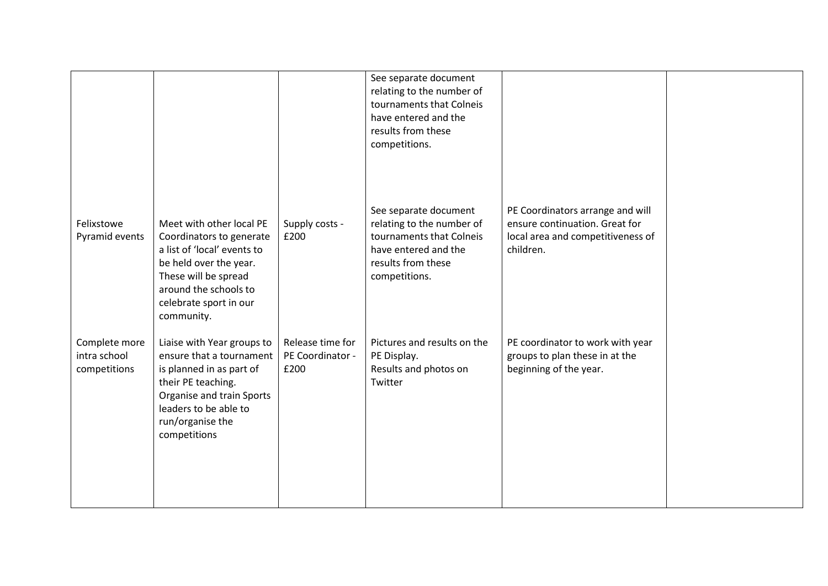|                                               |                                                                                                                                                                                                        |                                              | See separate document<br>relating to the number of<br>tournaments that Colneis<br>have entered and the<br>results from these<br>competitions. |                                                                                                                      |  |
|-----------------------------------------------|--------------------------------------------------------------------------------------------------------------------------------------------------------------------------------------------------------|----------------------------------------------|-----------------------------------------------------------------------------------------------------------------------------------------------|----------------------------------------------------------------------------------------------------------------------|--|
| Felixstowe<br>Pyramid events                  | Meet with other local PE<br>Coordinators to generate<br>a list of 'local' events to<br>be held over the year.<br>These will be spread<br>around the schools to<br>celebrate sport in our<br>community. | Supply costs -<br>£200                       | See separate document<br>relating to the number of<br>tournaments that Colneis<br>have entered and the<br>results from these<br>competitions. | PE Coordinators arrange and will<br>ensure continuation. Great for<br>local area and competitiveness of<br>children. |  |
| Complete more<br>intra school<br>competitions | Liaise with Year groups to<br>ensure that a tournament<br>is planned in as part of<br>their PE teaching.<br>Organise and train Sports<br>leaders to be able to<br>run/organise the<br>competitions     | Release time for<br>PE Coordinator -<br>£200 | Pictures and results on the<br>PE Display.<br>Results and photos on<br>Twitter                                                                | PE coordinator to work with year<br>groups to plan these in at the<br>beginning of the year.                         |  |